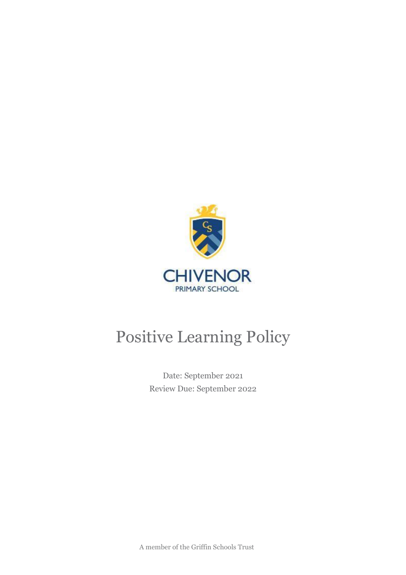

# Positive Learning Policy

Date: September 2021 Review Due: September 2022

A member of the Griffin Schools Trust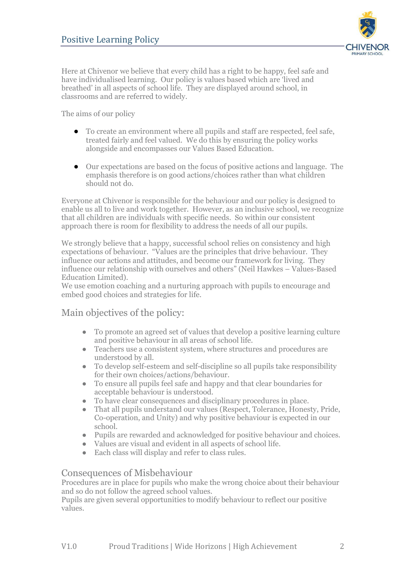

Here at Chivenor we believe that every child has a right to be happy, feel safe and have individualised learning. Our policy is values based which are 'lived and breathed' in all aspects of school life. They are displayed around school, in classrooms and are referred to widely.

The aims of our policy

- To create an environment where all pupils and staff are respected, feel safe, treated fairly and feel valued. We do this by ensuring the policy works alongside and encompasses our Values Based Education.
- Our expectations are based on the focus of positive actions and language. The emphasis therefore is on good actions/choices rather than what children should not do.

Everyone at Chivenor is responsible for the behaviour and our policy is designed to enable us all to live and work together. However, as an inclusive school, we recognize that all children are individuals with specific needs. So within our consistent approach there is room for flexibility to address the needs of all our pupils.

We strongly believe that a happy, successful school relies on consistency and high expectations of behaviour. "Values are the principles that drive behaviour. They influence our actions and attitudes, and become our framework for living. They influence our relationship with ourselves and others" (Neil Hawkes – Values-Based Education Limited).

We use emotion coaching and a nurturing approach with pupils to encourage and embed good choices and strategies for life.

# Main objectives of the policy:

- To promote an agreed set of values that develop a positive learning culture and positive behaviour in all areas of school life.
- Teachers use a consistent system, where structures and procedures are understood by all.
- To develop self-esteem and self-discipline so all pupils take responsibility for their own choices/actions/behaviour.
- To ensure all pupils feel safe and happy and that clear boundaries for acceptable behaviour is understood.
- To have clear consequences and disciplinary procedures in place.
- That all pupils understand our values (Respect, Tolerance, Honesty, Pride, Co-operation, and Unity) and why positive behaviour is expected in our school.
- Pupils are rewarded and acknowledged for positive behaviour and choices.
- Values are visual and evident in all aspects of school life.
- Each class will display and refer to class rules.

#### Consequences of Misbehaviour

Procedures are in place for pupils who make the wrong choice about their behaviour and so do not follow the agreed school values.

Pupils are given several opportunities to modify behaviour to reflect our positive values.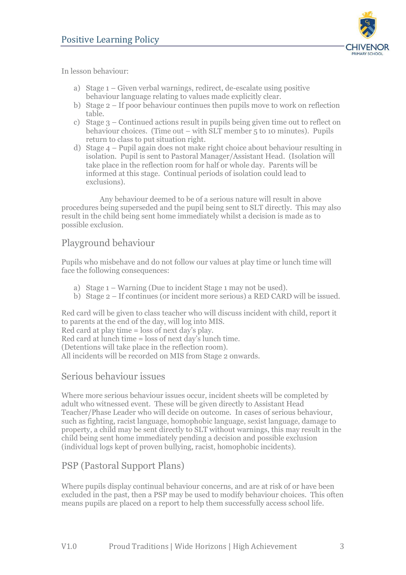

In lesson behaviour:

- a) Stage 1 Given verbal warnings, redirect, de-escalate using positive behaviour language relating to values made explicitly clear.
- b) Stage 2 If poor behaviour continues then pupils move to work on reflection table.
- c) Stage 3 Continued actions result in pupils being given time out to reflect on behaviour choices. (Time out – with SLT member 5 to 10 minutes). Pupils return to class to put situation right.
- d) Stage 4 Pupil again does not make right choice about behaviour resulting in isolation. Pupil is sent to Pastoral Manager/Assistant Head. (Isolation will take place in the reflection room for half or whole day. Parents will be informed at this stage. Continual periods of isolation could lead to exclusions).

Any behaviour deemed to be of a serious nature will result in above procedures being superseded and the pupil being sent to SLT directly. This may also result in the child being sent home immediately whilst a decision is made as to possible exclusion.

## Playground behaviour

Pupils who misbehave and do not follow our values at play time or lunch time will face the following consequences:

- a) Stage 1 Warning (Due to incident Stage 1 may not be used).
- b) Stage 2 If continues (or incident more serious) a RED CARD will be issued.

Red card will be given to class teacher who will discuss incident with child, report it to parents at the end of the day, will log into MIS.

Red card at play time = loss of next day's play.

Red card at lunch time = loss of next day's lunch time.

(Detentions will take place in the reflection room).

All incidents will be recorded on MIS from Stage 2 onwards.

#### Serious behaviour issues

Where more serious behaviour issues occur, incident sheets will be completed by adult who witnessed event. These will be given directly to Assistant Head Teacher/Phase Leader who will decide on outcome. In cases of serious behaviour, such as fighting, racist language, homophobic language, sexist language, damage to property, a child may be sent directly to SLT without warnings, this may result in the child being sent home immediately pending a decision and possible exclusion (individual logs kept of proven bullying, racist, homophobic incidents).

# PSP (Pastoral Support Plans)

Where pupils display continual behaviour concerns, and are at risk of or have been excluded in the past, then a PSP may be used to modify behaviour choices. This often means pupils are placed on a report to help them successfully access school life.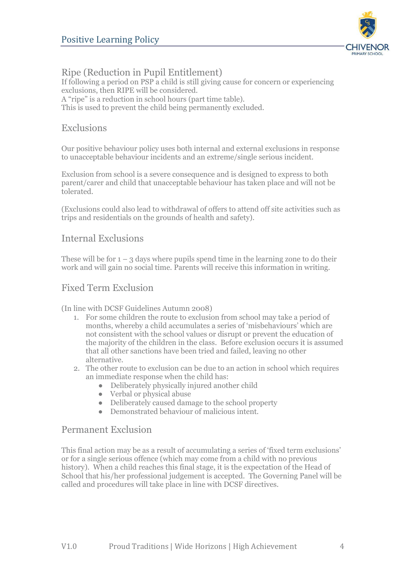

Ripe (Reduction in Pupil Entitlement) If following a period on PSP a child is still giving cause for concern or experiencing exclusions, then RIPE will be considered. A "ripe" is a reduction in school hours (part time table). This is used to prevent the child being permanently excluded.

### Exclusions

Our positive behaviour policy uses both internal and external exclusions in response to unacceptable behaviour incidents and an extreme/single serious incident.

Exclusion from school is a severe consequence and is designed to express to both parent/carer and child that unacceptable behaviour has taken place and will not be tolerated.

(Exclusions could also lead to withdrawal of offers to attend off site activities such as trips and residentials on the grounds of health and safety).

#### Internal Exclusions

These will be for  $1 - 3$  days where pupils spend time in the learning zone to do their work and will gain no social time. Parents will receive this information in writing.

## Fixed Term Exclusion

(In line with DCSF Guidelines Autumn 2008)

- 1. For some children the route to exclusion from school may take a period of months, whereby a child accumulates a series of 'misbehaviours' which are not consistent with the school values or disrupt or prevent the education of the majority of the children in the class. Before exclusion occurs it is assumed that all other sanctions have been tried and failed, leaving no other alternative.
- 2. The other route to exclusion can be due to an action in school which requires an immediate response when the child has:
	- Deliberately physically injured another child
	- Verbal or physical abuse
	- Deliberately caused damage to the school property
	- Demonstrated behaviour of malicious intent.

#### Permanent Exclusion

This final action may be as a result of accumulating a series of 'fixed term exclusions' or for a single serious offence (which may come from a child with no previous history). When a child reaches this final stage, it is the expectation of the Head of School that his/her professional judgement is accepted. The Governing Panel will be called and procedures will take place in line with DCSF directives.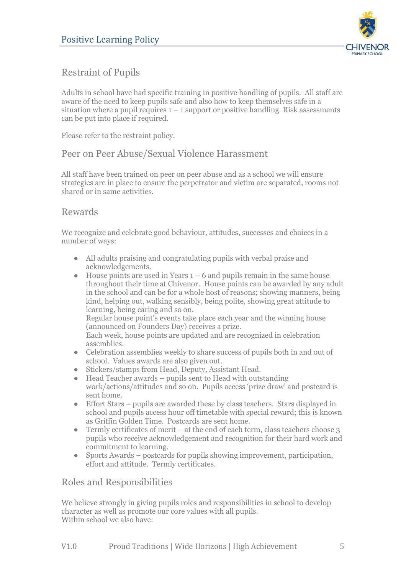

# Restraint of Pupils

Adults in school have had specific training in positive handling of pupils. All staff are aware of the need to keep pupils safe and also how to keep themselves safe in a situation where a pupil requires  $1 - 1$  support or positive handling. Risk assessments can be put into place if required.

Please refer to the restraint policy.

## Peer on Peer Abuse/Sexual Violence Harassment

All staff have been trained on peer on peer abuse and as a school we will ensure strategies are in place to ensure the perpetrator and victim are separated, rooms not shared or in same activities.

#### Rewards

We recognize and celebrate good behaviour, attitudes, successes and choices in a number of ways:

- All adults praising and congratulating pupils with verbal praise and acknowledgements.
- House points are used in Years  $1 6$  and pupils remain in the same house throughout their time at Chivenor. House points can be awarded by any adult in the school and can be for a whole host of reasons; showing manners, being kind, helping out, walking sensibly, being polite, showing great attitude to learning, being caring and so on. Regular house point's events take place each year and the winning house (announced on Founders Day) receives a prize. Each week, house points are updated and are recognized in celebration assemblies.
- Celebration assemblies weekly to share success of pupils both in and out of school. Values awards are also given out.
- Stickers/stamps from Head, Deputy, Assistant Head.
- $\bullet$  Head Teacher awards pupils sent to Head with outstanding work/actions/attitudes and so on. Pupils access 'prize draw' and postcard is sent home.
- Effort Stars pupils are awarded these by class teachers. Stars displayed in school and pupils access hour off timetable with special reward; this is known as Griffin Golden Time. Postcards are sent home.
- Termly certificates of merit at the end of each term, class teachers choose  $3$ pupils who receive acknowledgement and recognition for their hard work and commitment to learning.
- Sports Awards postcards for pupils showing improvement, participation, effort and attitude. Termly certificates.

#### Roles and Responsibilities

We believe strongly in giving pupils roles and responsibilities in school to develop character as well as promote our core values with all pupils. Within school we also have: